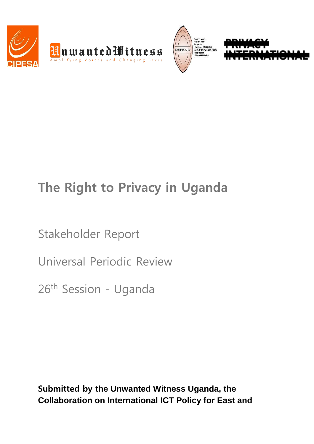





# **The Right to Privacy in Uganda**

Stakeholder Report

Universal Periodic Review

26th Session - Uganda

**Submitted by the Unwanted Witness Uganda, the Collaboration on International ICT Policy for East and**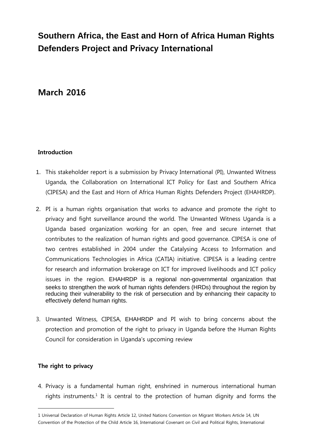# **Southern Africa, the East and Horn of Africa Human Rights Defenders Project and Privacy International**

# **March 2016**

# **Introduction**

- 1. This stakeholder report is a submission by Privacy International (PI), Unwanted Witness Uganda, the Collaboration on International ICT Policy for East and Southern Africa (CIPESA) and the East and Horn of Africa Human Rights Defenders Project (EHAHRDP).
- 2. PI is a human rights organisation that works to advance and promote the right to privacy and fight surveillance around the world. The Unwanted Witness Uganda is a Uganda based organization working for an open, free and secure internet that contributes to the realization of human rights and good governance. CIPESA is one of two centres established in 2004 under the Catalysing Access to Information and Communications Technologies in Africa (CATIA) initiative. CIPESA is a leading centre for research and information brokerage on ICT for improved livelihoods and ICT policy issues in the region. EHAHRDP is a regional non-governmental organization that seeks to strengthen the work of human rights defenders (HRDs) throughout the region by reducing their vulnerability to the risk of persecution and by enhancing their capacity to effectively defend human rights.
- 3. Unwanted Witness, CIPESA, EHAHRDP and PI wish to bring concerns about the protection and promotion of the right to privacy in Uganda before the Human Rights Council for consideration in Uganda's upcoming review

# **The right to privacy**

 $\overline{a}$ 

4. Privacy is a fundamental human right, enshrined in numerous international human rights instruments.<sup>1</sup> It is central to the protection of human dignity and forms the

<sup>1</sup> Universal Declaration of Human Rights Article 12, United Nations Convention on Migrant Workers Article 14, UN Convention of the Protection of the Child Article 16, International Covenant on Civil and Political Rights, International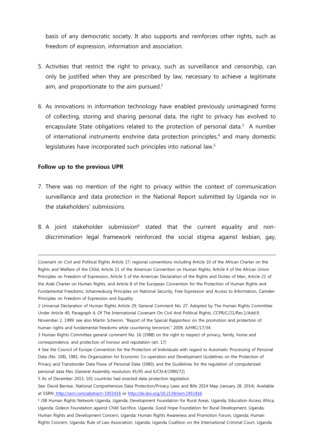basis of any democratic society. It also supports and reinforces other rights, such as freedom of expression, information and association.

- 5. Activities that restrict the right to privacy, such as surveillance and censorship, can only be justified when they are prescribed by law, necessary to achieve a legitimate aim, and proportionate to the aim pursued. $2$
- 6. As innovations in information technology have enabled previously unimagined forms of collecting, storing and sharing personal data, the right to privacy has evolved to encapsulate State obligations related to the protection of personal data. $3$  A number of international instruments enshrine data protection principles, <sup>4</sup> and many domestic legislatures have incorporated such principles into national law.<sup>5</sup>

#### **Follow up to the previous UPR**

- 7. There was no mention of the right to privacy within the context of communication surveillance and data protection in the National Report submitted by Uganda nor in the stakeholders' submissions.
- 8. A joint stakeholder submission<sup>6</sup> stated that the current equality and nondiscrimination legal framework reinforced the social stigma against lesbian, gay,

Covenant on Civil and Political Rights Article 17; regional conventions including Article 10 of the African Charter on the Rights and Welfare of the Child, Article 11 of the American Convention on Human Rights, Article 4 of the African Union Principles on Freedom of Expression, Article 5 of the American Declaration of the Rights and Duties of Man, Article 21 of the Arab Charter on Human Rights, and Article 8 of the European Convention for the Protection of Human Rights and Fundamental Freedoms; Johannesburg Principles on National Security, Free Expression and Access to Information, Camden Principles on Freedom of Expression and Equality.

<sup>2</sup> Universal Declaration of Human Rights Article 29; General Comment No. 27, Adopted by The Human Rights Committee Under Article 40, Paragraph 4, Of The International Covenant On Civil And Political Rights, CCPR/C/21/Rev.1/Add.9, November 2, 1999; see also Martin Scheinin, "Report of the Special Rapporteur on the promotion and protection of human rights and fundamental freedoms while countering terrorism," 2009, A/HRC/17/34.

<sup>3</sup> Human Rights Committee general comment No. 16 (1988) on the right to respect of privacy, family, home and correspondence, and protection of honour and reputation (art. 17)

<sup>4</sup> See the Council of Europe Convention for the Protection of Individuals with regard to Automatic Processing of Personal Data (No. 108), 1981; the Organization for Economic Co-operation and Development Guidelines on the Protection of Privacy and Transborder Data Flows of Personal Data (1980); and the Guidelines for the regulation of computerized personal data files (General Assembly resolution 45/95 and E/CN.4/1990/72)

<sup>5</sup> As of December 2013, 101 countries had enacted data protection legislation.

See: David Banisar, National Comprehensive Data Protection/Privacy Laws and Bills 2014 Map (January 28, 2014). Available at SSRN: <http://ssrn.com/abstract=1951416> or<http://dx.doi.org/10.2139/ssrn.1951416>

<sup>6</sup> JS8 Human Rights Network-Uganda, Uganda; Development Foundation for Rural Areas, Uganda; Education Access Africa, Uganda; Gideon Foundation against Child Sacrifice, Uganda; Good Hope Foundation for Rural Development, Uganda; Human Rights and Development Concern, Uganda; Human Rights Awareness and Promotion Forum, Uganda; Human Rights Concern, Uganda; Rule of Law Association, Uganda; Uganda Coalition on the International Criminal Court, Uganda.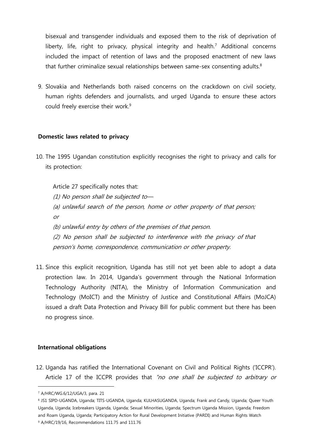bisexual and transgender individuals and exposed them to the risk of deprivation of liberty, life, right to privacy, physical integrity and health.<sup>7</sup> Additional concerns included the impact of retention of laws and the proposed enactment of new laws that further criminalize sexual relationships between same-sex consenting adults.<sup>8</sup>

9. Slovakia and Netherlands both raised concerns on the crackdown on civil society, human rights defenders and journalists, and urged Uganda to ensure these actors could freely exercise their work.<sup>9</sup>

### **Domestic laws related to privacy**

10. The 1995 Ugandan constitution explicitly recognises the right to privacy and calls for its protection:

Article 27 specifically notes that: (1) No person shall be subjected to— (a) unlawful search of the person, home or other property of that person; or (b) unlawful entry by others of the premises of that person. (2) No person shall be subjected to interference with the privacy of that person's home, correspondence, communication or other property.

11. Since this explicit recognition, Uganda has still not yet been able to adopt a data protection law. In 2014, Uganda's government through the National Information Technology Authority (NITA), the Ministry of Information Communication and Technology (MoICT) and the Ministry of Justice and Constitutional Affairs (MoJCA) issued a draft Data Protection and Privacy Bill for public comment but there has been no progress since.

# **International obligations**

12. Uganda has ratified the International Covenant on Civil and Political Rights ('ICCPR'). Article 17 of the ICCPR provides that "no one shall be subjected to arbitrary or

 $\overline{a}$ 

8 JS1 SIPD-UGANDA, Uganda; TITS-UGANDA, Uganda; KULHASUGANDA, Uganda; Frank and Candy, Uganda; Queer Youth Uganda, Uganda; Icebreakers Uganda, Uganda; Sexual Minorities, Uganda; Spectrum Uganda Mission, Uganda; Freedom and Roam Uganda, Uganda; Participatory Action for Rural Development Initiative (PARDI) and Human Rights Watch <sup>9</sup> A/HRC/19/16, Recommendations 111.75 and 111.76

<sup>7</sup> A/HRC/WG.6/12/UGA/3, para. 21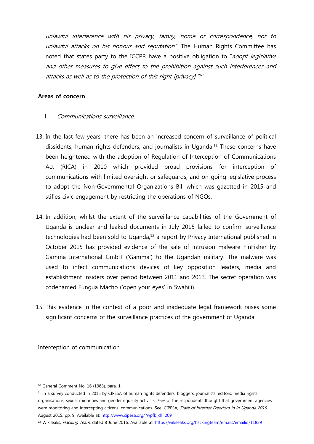unlawful interference with his privacy, family, home or correspondence, nor to unlawful attacks on his honour and reputation". The Human Rights Committee has noted that states party to the ICCPR have a positive obligation to "adopt legislative and other measures to give effect to the prohibition against such interferences and attacks as well as to the protection of this right [privacy]." $^{40}$ 

### **Areas of concern**

# I. Communications surveillance

- 13. In the last few years, there has been an increased concern of surveillance of political dissidents, human rights defenders, and journalists in Uganda. <sup>11</sup> These concerns have been heightened with the adoption of Regulation of Interception of Communications Act (RICA) in 2010 which provided broad provisions for interception of communications with limited oversight or safeguards, and on-going legislative process to adopt the Non-Governmental Organizations Bill which was gazetted in 2015 and stifles civic engagement by restricting the operations of NGOs.
- 14. In addition, whilst the extent of the surveillance capabilities of the Government of Uganda is unclear and leaked documents in July 2015 failed to confirm surveillance technologies had been sold to Uganda, $12$  a report by Privacy International published in October 2015 has provided evidence of the sale of intrusion malware FinFisher by Gamma International GmbH ('Gamma') to the Ugandan military. The malware was used to infect communications devices of key opposition leaders, media and establishment insiders over period between 2011 and 2013. The secret operation was codenamed Fungua Macho ('open your eyes' in Swahili).
- 15. This evidence in the context of a poor and inadequate legal framework raises some significant concerns of the surveillance practices of the government of Uganda.

Interception of communication

<sup>&</sup>lt;sup>10</sup> General Comment No. 16 (1988), para. 1

<sup>&</sup>lt;sup>11</sup> In a survey conducted in 2015 by CIPESA of human rights defenders, bloggers, journalists, editors, media rights organisations, sexual minorities and gender equality activists, 76% of the respondents thought that government agencies were monitoring and intercepting citizens' communications. See: CIPESA, State of Internet Freedom in in Uganda 2015, August 2015. pp. 9. Available at: [http://www.cipesa.org/?wpfb\\_dl=209](http://www.cipesa.org/?wpfb_dl=209)

<sup>&</sup>lt;sup>12</sup> Wikileaks, Hacking Team, dated 8 June 2016. Available at:<https://wikileaks.org/hackingteam/emails/emailid/11829>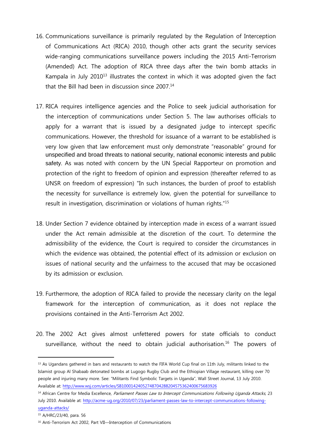- 16. Communications surveillance is primarily regulated by the Regulation of Interception of Communications Act (RICA) 2010, though other acts grant the security services wide-ranging communications surveillance powers including the 2015 Anti-Terrorism (Amended) Act. The adoption of RICA three days after the twin bomb attacks in Kampala in July  $2010^{13}$  illustrates the context in which it was adopted given the fact that the Bill had been in discussion since 2007. 14
- 17. RICA requires intelligence agencies and the Police to seek judicial authorisation for the interception of communications under Section 5. The law authorises officials to apply for a warrant that is issued by a designated judge to intercept specific communications. However, the threshold for issuance of a warrant to be established is very low given that law enforcement must only demonstrate "reasonable" ground for unspecified and broad threats to national security, national economic interests and public safety. As was noted with concern by the UN Special Rapporteur on promotion and protection of the right to freedom of opinion and expression (thereafter referred to as UNSR on freedom of expression) "In such instances, the burden of proof to establish the necessity for surveillance is extremely low, given the potential for surveillance to result in investigation, discrimination or violations of human rights."<sup>15</sup>
- 18. Under Section 7 evidence obtained by interception made in excess of a warrant issued under the Act remain admissible at the discretion of the court. To determine the admissibility of the evidence, the Court is required to consider the circumstances in which the evidence was obtained, the potential effect of its admission or exclusion on issues of national security and the unfairness to the accused that may be occasioned by its admission or exclusion.
- 19. Furthermore, the adoption of RICA failed to provide the necessary clarity on the legal framework for the interception of communication, as it does not replace the provisions contained in the Anti-Terrorism Act 2002.
- 20. The 2002 Act gives almost unfettered powers for state officials to conduct surveillance, without the need to obtain judicial authorisation.<sup>16</sup> The powers of

<sup>&</sup>lt;sup>13</sup> As Ugandans gathered in bars and restaurants to watch the FIFA World Cup final on 11th July, militants linked to the Islamist group Al Shabaab detonated bombs at Lugogo Rugby Club and the Ethiopian Village restaurant, killing over 70 people and injuring many more. See: "Militants Find Symbolic Targets in Uganda", Wall Street Journal, 13 July 2010. Available at:<http://www.wsj.com/articles/SB10001424052748704288204575362400675683926>

<sup>&</sup>lt;sup>14</sup> African Centre for Media Excellence, Parliament Passes Law to Intercept Communications Following Uganda Attacks, 23 July 2010. Available at: [http://acme-ug.org/2010/07/23/parliament-passes-law-to-intercept-communications-following](http://acme-ug.org/2010/07/23/parliament-passes-law-to-intercept-communications-following-uganda-attacks/)[uganda-attacks/](http://acme-ug.org/2010/07/23/parliament-passes-law-to-intercept-communications-following-uganda-attacks/)

<sup>15</sup> A/HRC/23/40, para. 56

<sup>&</sup>lt;sup>16</sup> Anti-Terrorism Act 2002, Part VII-Interception of Communications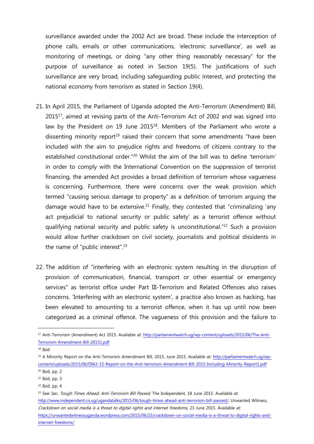surveillance awarded under the 2002 Act are broad. These include the interception of phone calls, emails or other communications, 'electronic surveillance', as well as monitoring of meetings, or doing "any other thing reasonably necessary" for the purpose of surveillance as noted in Section 19(5). The justifications of such surveillance are very broad, including safeguarding public interest, and protecting the national economy from terrorism as stated in Section 19(4).

- 21. In April 2015, the Parliament of Uganda adopted the Anti-Terrorism (Amendment) Bill, 2015<sup>17</sup>, aimed at revising parts of the Anti-Terrorism Act of 2002 and was signed into law by the President on 19 June 2015<sup>18</sup>. Members of the Parliament who wrote a dissenting minority report<sup>19</sup> raised their concern that some amendments "have been included with the aim to prejudice rights and freedoms of citizens contrary to the established constitutional order."<sup>20</sup> Whilst the aim of the bill was to define 'terrorism' in order to comply with the International Convention on the suppression of terrorist financing, the amended Act provides a broad definition of terrorism whose vagueness is concerning. Furthermore, there were concerns over the weak provision which termed "causing serious damage to property" as a definition of terrorism arguing the damage would have to be extensive.<sup>21</sup> Finally, they contested that "criminalizing 'any act prejudicial to national security or public safety' as a terrorist offence without qualifying national security and public safety is unconstitutional."<sup>22</sup> Such a provision would allow further crackdown on civil society, journalists and political dissidents in the name of "public interest".<sup>23</sup>
- 22. The addition of "interfering with an electronic system resulting in the disruption of provision of communication, financial, transport or other essential or emergency services" as terrorist office under Part III-Terrorism and Related Offences also raises concerns. 'Interfering with an electronic system', a practice also known as hacking, has been elevated to amounting to a terrorist offence, when it has up until now been categorized as a criminal offence. The vagueness of this provision and the failure to

<sup>17</sup> Anti-Terrorism (Amendment) Act 2015. Available at: [http://parliamentwatch.ug/wp-content/uploads/2015/06/The-Anti-](http://parliamentwatch.ug/wp-content/uploads/2015/06/The-Anti-Terrorism-Amendment-Bill-20151.pdf)[Terrorism-Amendment-Bill-20151.pdf](http://parliamentwatch.ug/wp-content/uploads/2015/06/The-Anti-Terrorism-Amendment-Bill-20151.pdf)

<sup>18</sup> Ibid

<sup>19</sup> A Minority Report on the Anti-Terrorism Amendment Bill, 2015, June 2015. Available at: [http://parliamentwatch.ug/wp](http://parliamentwatch.ug/wp-content/uploads/2015/06/DIA3-15-Report-on-the-Anti-terrorism-Amendment-Bill-2015-Including-Minority-Report1.pdf)[content/uploads/2015/06/DIA3-15-Report-on-the-Anti-terrorism-Amendment-Bill-2015-Including-Minority-Report1.pdf](http://parliamentwatch.ug/wp-content/uploads/2015/06/DIA3-15-Report-on-the-Anti-terrorism-Amendment-Bill-2015-Including-Minority-Report1.pdf)  $20$  Ibid, pp. 2

 $21$  Ibid, pp. 3

 $22$  Ibid, pp. 4

<sup>&</sup>lt;sup>23</sup> See: Ian, *Tough Times Ahead; Anti-Terrorism Bill Passed*, The Independent, 18 June 2015. Available at: [http://www.independent.co.ug/ugandatalks/2015/06/tough-times-ahead-anti-terrorism-bill-passed/;](http://www.independent.co.ug/ugandatalks/2015/06/tough-times-ahead-anti-terrorism-bill-passed/) Unwanted Witness, Crackdown on social media is a threat to digital rights and internet freedoms, 23 June 2015. Available at: [https://unwantedwitnessuganda.wordpress.com/2015/06/23/crackdown-on-social-media-is-a-threat-to-digital-rights-and](https://unwantedwitnessuganda.wordpress.com/2015/06/23/crackdown-on-social-media-is-a-threat-to-digital-rights-and-internet-freedoms/)[internet-freedoms/](https://unwantedwitnessuganda.wordpress.com/2015/06/23/crackdown-on-social-media-is-a-threat-to-digital-rights-and-internet-freedoms/)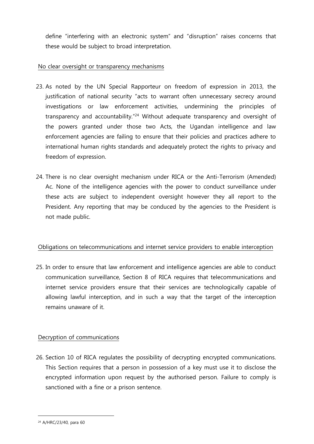define "interfering with an electronic system" and "disruption" raises concerns that these would be subject to broad interpretation.

# No clear oversight or transparency mechanisms

- 23. As noted by the UN Special Rapporteur on freedom of expression in 2013, the justification of national security "acts to warrant often unnecessary secrecy around investigations or law enforcement activities, undermining the principles of transparency and accountability."<sup>24</sup> Without adequate transparency and oversight of the powers granted under those two Acts, the Ugandan intelligence and law enforcement agencies are failing to ensure that their policies and practices adhere to international human rights standards and adequately protect the rights to privacy and freedom of expression.
- 24. There is no clear oversight mechanism under RICA or the Anti-Terrorism (Amended) Ac. None of the intelligence agencies with the power to conduct surveillance under these acts are subject to independent oversight however they all report to the President. Any reporting that may be conduced by the agencies to the President is not made public.

# Obligations on telecommunications and internet service providers to enable interception

25. In order to ensure that law enforcement and intelligence agencies are able to conduct communication surveillance, Section 8 of RICA requires that telecommunications and internet service providers ensure that their services are technologically capable of allowing lawful interception, and in such a way that the target of the interception remains unaware of it.

# Decryption of communications

26. Section 10 of RICA regulates the possibility of decrypting encrypted communications. This Section requires that a person in possession of a key must use it to disclose the encrypted information upon request by the authorised person. Failure to comply is sanctioned with a fine or a prison sentence.

<sup>24</sup> A/HRC/23/40, para 60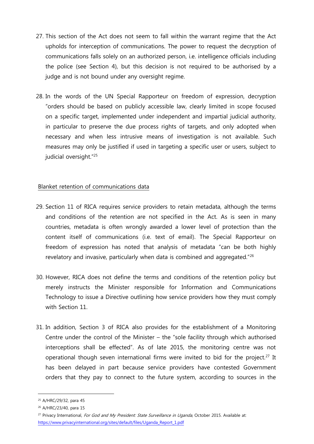- 27. This section of the Act does not seem to fall within the warrant regime that the Act upholds for interception of communications. The power to request the decryption of communications falls solely on an authorized person, i.e. intelligence officials including the police (see Section 4), but this decision is not required to be authorised by a judge and is not bound under any oversight regime.
- 28. In the words of the UN Special Rapporteur on freedom of expression, decryption "orders should be based on publicly accessible law, clearly limited in scope focused on a specific target, implemented under independent and impartial judicial authority, in particular to preserve the due process rights of targets, and only adopted when necessary and when less intrusive means of investigation is not available. Such measures may only be justified if used in targeting a specific user or users, subject to judicial oversight."<sup>25</sup>

# Blanket retention of communications data

- 29. Section 11 of RICA requires service providers to retain metadata, although the terms and conditions of the retention are not specified in the Act. As is seen in many countries, metadata is often wrongly awarded a lower level of protection than the content itself of communications (i.e. text of email). The Special Rapporteur on freedom of expression has noted that analysis of metadata "can be both highly revelatory and invasive, particularly when data is combined and aggregated."<sup>26</sup>
- 30. However, RICA does not define the terms and conditions of the retention policy but merely instructs the Minister responsible for Information and Communications Technology to issue a Directive outlining how service providers how they must comply with Section 11.
- 31. In addition, Section 3 of RICA also provides for the establishment of a Monitoring Centre under the control of the Minister – the "sole facility through which authorised interceptions shall be effected". As of late 2015, the monitoring centre was not operational though seven international firms were invited to bid for the project.<sup>27</sup> It has been delayed in part because service providers have contested Government orders that they pay to connect to the future system, according to sources in the

<sup>25</sup> A/HRC/29/32, para 45

<sup>26</sup> A/HRC/23/40, para 15

<sup>&</sup>lt;sup>27</sup> Privacy International, For God and My President: State Surveillance in Uganda, October 2015. Available at: [https://www.privacyinternational.org/sites/default/files/Uganda\\_Report\\_1.pdf](https://www.privacyinternational.org/sites/default/files/Uganda_Report_1.pdf)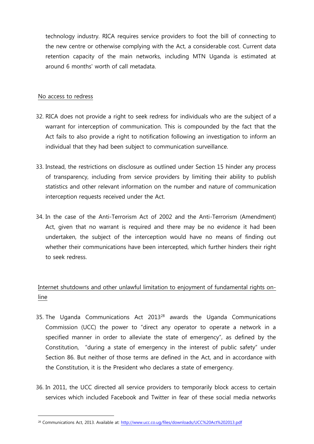technology industry. RICA requires service providers to foot the bill of connecting to the new centre or otherwise complying with the Act, a considerable cost. Current data retention capacity of the main networks, including MTN Uganda is estimated at around 6 months' worth of call metadata.

### No access to redress

 $\overline{a}$ 

- 32. RICA does not provide a right to seek redress for individuals who are the subject of a warrant for interception of communication. This is compounded by the fact that the Act fails to also provide a right to notification following an investigation to inform an individual that they had been subject to communication surveillance.
- 33. Instead, the restrictions on disclosure as outlined under Section 15 hinder any process of transparency, including from service providers by limiting their ability to publish statistics and other relevant information on the number and nature of communication interception requests received under the Act.
- 34. In the case of the Anti-Terrorism Act of 2002 and the Anti-Terrorism (Amendment) Act, given that no warrant is required and there may be no evidence it had been undertaken, the subject of the interception would have no means of finding out whether their communications have been intercepted, which further hinders their right to seek redress.

# Internet shutdowns and other unlawful limitation to enjoyment of fundamental rights online

- 35. The Uganda Communications Act 2013<sup>28</sup> awards the Uganda Communications Commission (UCC) the power to "direct any operator to operate a network in a specified manner in order to alleviate the state of emergency", as defined by the Constitution, "during a state of emergency in the interest of public safety" under Section 86. But neither of those terms are defined in the Act, and in accordance with the Constitution, it is the President who declares a state of emergency.
- 36. In 2011, the UCC directed all service providers to temporarily block access to certain services which included Facebook and Twitter in fear of these social media networks

<sup>28</sup> Communications Act, 2013. Available at:<http://www.ucc.co.ug/files/downloads/UCC%20Act%202013.pdf>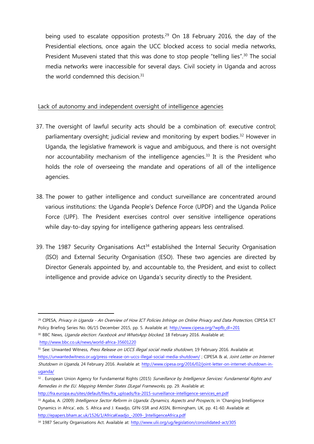being used to escalate opposition protests. <sup>29</sup> On 18 February 2016, the day of the Presidential elections, once again the UCC blocked access to social media networks, President Museveni stated that this was done to stop people "telling lies".<sup>30</sup> The social media networks were inaccessible for several days. Civil society in Uganda and across the world condemned this decision.<sup>31</sup>

## Lack of autonomy and independent oversight of intelligence agencies

- 37. The oversight of lawful security acts should be a combination of: executive control; parliamentary oversight; judicial review and monitoring by expert bodies.<sup>32</sup> However in Uganda, the legislative framework is vague and ambiguous, and there is not oversight nor accountability mechanism of the intelligence agencies.<sup>33</sup> It is the President who holds the role of overseeing the mandate and operations of all of the intelligence agencies.
- 38. The power to gather intelligence and conduct surveillance are concentrated around various institutions: the Uganda People's Defence Force (UPDF) and the Uganda Police Force (UPF). The President exercises control over sensitive intelligence operations while day-to-day spying for intelligence gathering appears less centralised.
- 39. The 1987 Security Organisations  $Act<sup>34</sup>$  established the Internal Security Organisation (ISO) and External Security Organisation (ESO). These two agencies are directed by Director Generals appointed by, and accountable to, the President, and exist to collect intelligence and provide advice on Uganda's security directly to the President.

<sup>&</sup>lt;sup>29</sup> CIPESA, Privacy in Uganda - An Overview of How ICT Policies Infringe on Online Privacy and Data Protection, CIPESA ICT Policy Briefing Series No. 06/15 December 2015, pp. 5. Available at: [http://www.cipesa.org/?wpfb\\_dl=201](http://www.cipesa.org/?wpfb_dl=201)

<sup>30</sup> BBC News, Uganda election: Facebook and WhatsApp blocked, 18 February 2016. Available at:

<http://www.bbc.co.uk/news/world-africa-35601220>

<sup>&</sup>lt;sup>31</sup> See: Unwanted Witness, Press Release on UCCS illegal social media shutdown, 19 February 2016. Available at: <https://unwantedwitness.or.ug/press-release-on-uccs-illegal-social-media-shutdown/> ; CIPESA & al, Joint Letter on Internet Shutdown in Uganda, 24 February 2016. Available at: [http://www.cipesa.org/2016/02/joint-letter-on-internet-shutdown-in](http://www.cipesa.org/2016/02/joint-letter-on-internet-shutdown-in-uganda/)[uganda/](http://www.cipesa.org/2016/02/joint-letter-on-internet-shutdown-in-uganda/)

<sup>32.</sup> European Union Agency for Fundamental Rights (2015) Surveillance by Intelligence Services: Fundamental Rights and Remedies in the EU. Mapping Member States Ellegal Frameworks, pp. 29. Available at:

[http://fra.europa.eu/sites/default/files/fra\\_uploads/fra-2015-surveillance-intelligence-services\\_en.pdf](http://fra.europa.eu/sites/default/files/fra_uploads/fra-2015-surveillance-intelligence-services_en.pdf)

<sup>33</sup> Agaba, A. (2009) Intelligence Sector Reform in Uganda: Dynamics, Aspects and Prospects, in 'Changing Intelligence Dynamics in Africa', eds. S. Africa and J. Kwadjo, GFN-SSR and ASSN, Birmingham, UK, pp. 41-60. Available at: [http://epapers.bham.ac.uk/1526/1/AfricaKwadjo\\_-2009-\\_IntelligenceAfrica.pdf](http://epapers.bham.ac.uk/1526/1/AfricaKwadjo_-2009-_IntelligenceAfrica.pdf)

<sup>34</sup> 1987 Security Organisations Act. Available at: <http://www.ulii.org/ug/legislation/consolidated-act/305>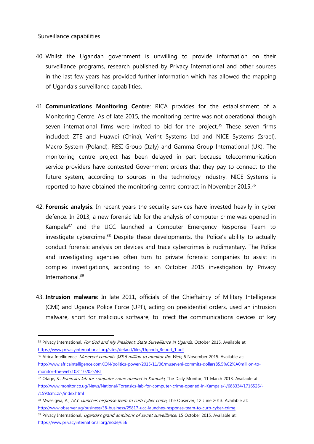#### Surveillance capabilities

- 40. Whilst the Ugandan government is unwilling to provide information on their surveillance programs, research published by Privacy International and other sources in the last few years has provided further information which has allowed the mapping of Uganda's surveillance capabilities.
- 41. **Communications Monitoring Centre**: RICA provides for the establishment of a Monitoring Centre. As of late 2015, the monitoring centre was not operational though seven international firms were invited to bid for the project.<sup>35</sup> These seven firms included: ZTE and Huawei (China), Verint Systems Ltd and NICE Systems (Israel), Macro System (Poland), RESI Group (Italy) and Gamma Group International (UK). The monitoring centre project has been delayed in part because telecommunication service providers have contested Government orders that they pay to connect to the future system, according to sources in the technology industry. NICE Systems is reported to have obtained the monitoring centre contract in November 2015.<sup>36</sup>
- 42. **Forensic analysis**: In recent years the security services have invested heavily in cyber defence. In 2013, a new forensic lab for the analysis of computer crime was opened in Kampala<sup>37</sup> and the UCC launched a Computer Emergency Response Team to investigate cybercrime. <sup>38</sup> Despite these developments, the Police's ability to actually conduct forensic analysis on devices and trace cybercrimes is rudimentary. The Police and investigating agencies often turn to private forensic companies to assist in complex investigations, according to an October 2015 investigation by Privacy International. 39
- 43. **Intrusion malware**: In late 2011, officials of the Chieftaincy of Military Intelligence (CMI) and Uganda Police Force (UPF), acting on presidential orders, used an intrusion malware, short for malicious software, to infect the communications devices of key

<sup>35</sup> Privacy International, For God and My President: State Surveillance in Uganda, October 2015. Available at: [https://www.privacyinternational.org/sites/default/files/Uganda\\_Report\\_1.pdf](https://www.privacyinternational.org/sites/default/files/Uganda_Report_1.pdf)

<sup>&</sup>lt;sup>36</sup> Africa Intelligence, Museveni commits \$85.5 million to monitor the Web, 6 November 2015. Available at: [http://www.africaintelligence.com/ION/politics-power/2015/11/06/museveni-commits-dollars85.5%C2%A0million-to](http://www.africaintelligence.com/ION/politics-power/2015/11/06/museveni-commits-dollars85.5%C2%A0million-to-monitor-the-web,108110202-ART)[monitor-the-web,108110202-ART](http://www.africaintelligence.com/ION/politics-power/2015/11/06/museveni-commits-dollars85.5%C2%A0million-to-monitor-the-web,108110202-ART)

<sup>&</sup>lt;sup>37</sup> Otage, S., Forensics lab for computer crime opened in Kampala, The Daily Monitor, 11 March 2013. Available at: [http://www.monitor.co.ug/News/National/Forensics-lab-for-computer-crime-opened-in-Kampala/-/688334/1716526/-](http://www.monitor.co.ug/News/National/Forensics-lab-for-computer-crime-opened-in-Kampala/-/688334/1716526/-/1590cm1z/-/index.html) [/1590cm1z/-/index.html](http://www.monitor.co.ug/News/National/Forensics-lab-for-computer-crime-opened-in-Kampala/-/688334/1716526/-/1590cm1z/-/index.html)

<sup>38</sup> Mwesigwa, A., UCC launches response team to curb cyber crime, The Observer, 12 June 2013. Available at: <http://www.observer.ug/business/38-business/25817-ucc-launches-response-team-to-curb-cyber-crime>

<sup>39</sup> Privacy International, Uganda's grand ambitions of secret surveillance, 15 October 2015. Available at: <https://www.privacyinternational.org/node/656>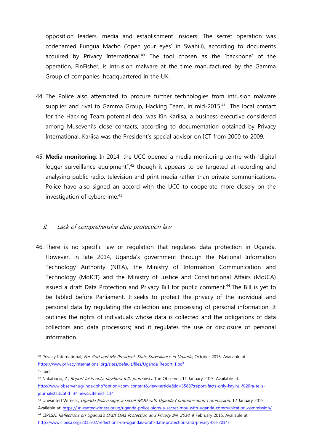opposition leaders, media and establishment insiders. The secret operation was codenamed Fungua Macho ('open your eyes' in Swahili), according to documents acquired by Privacy International. <sup>40</sup> The tool chosen as the 'backbone' of the operation, FinFisher, is intrusion malware at the time manufactured by the Gamma Group of companies, headquartered in the UK.

- 44. The Police also attempted to procure further technologies from intrusion malware supplier and rival to Gamma Group, Hacking Team, in mid-2015.<sup>41</sup> The local contact for the Hacking Team potential deal was Kin Kariisa, a business executive considered among Museveni's close contacts, according to documentation obtained by Privacy International. Kariisa was the President's special advisor on ICT from 2000 to 2009.
- 45. **Media monitoring**: In 2014, the UCC opened a media monitoring centre with "digital logger surveillance equipment",<sup>42</sup> though it appears to be targeted at recording and analysing public radio, television and print media rather than private communications. Police have also signed an accord with the UCC to cooperate more closely on the investigation of cybercrime. 43

# II. Lack of comprehensive data protection law

46. There is no specific law or regulation that regulates data protection in Uganda. However, in late 2014, Uganda's government through the National Information Technology Authority (NITA), the Ministry of Information Communication and Technology (MoICT) and the Ministry of Justice and Constitutional Affairs (MoJCA) issued a draft Data Protection and Privacy Bill for public comment.<sup>44</sup> The Bill is yet to be tabled before Parliament. It seeks to protect the privacy of the individual and personal data by regulating the collection and processing of personal information. It outlines the rights of individuals whose data is collected and the obligations of data collectors and data processors; and it regulates the use or disclosure of personal information.

<sup>&</sup>lt;sup>40</sup> Privacy International, For God and My President: State Surveillance in Uganda, October 2015. Available at: [https://www.privacyinternational.org/sites/default/files/Uganda\\_Report\\_1.pdf](https://www.privacyinternational.org/sites/default/files/Uganda_Report_1.pdf)

<sup>41</sup> Ibid

<sup>&</sup>lt;sup>42</sup> Nakabugo, Z., Report facts only, Kayihura tells journalists, The Observer, 11 January 2015. Available at: [http://www.observer.ug/index.php?option=com\\_content&view=article&id=35887:report-facts-only-kayihu-%20ra-tells](http://www.observer.ug/index.php?option=com_content&view=article&id=35887:report-facts-only-kayihu-%20ra-tells-journalists&catid=34:news&Itemid=114)[journalists&catid=34:news&Itemid=114](http://www.observer.ug/index.php?option=com_content&view=article&id=35887:report-facts-only-kayihu-%20ra-tells-journalists&catid=34:news&Itemid=114)

<sup>43</sup> Unwanted Witness, Uganda Police signs a secret MOU with Uganda Communication Commission, 12 January 2015.

Available at:<https://unwantedwitness.or.ug/uganda-police-signs-a-secret-mou-with-uganda-communication-commission/> 44 CIPESA, Reflections on Uganda's Draft Data Protection and Privacy Bill, 2014, 9 February 2015. Available at: <http://www.cipesa.org/2015/02/reflections-on-ugandas-draft-data-protection-and-privacy-bill-2014/>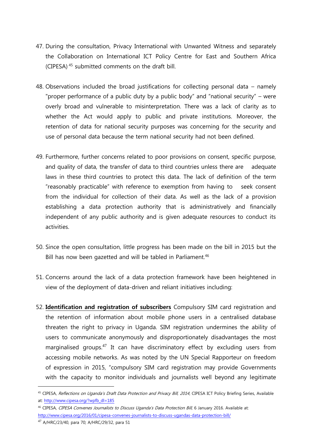- 47. During the consultation, Privacy International with Unwanted Witness and separately the Collaboration on International ICT Policy Centre for East and Southern Africa (CIPESA) <sup>45</sup> submitted comments on the draft bill.
- 48. Observations included the broad justifications for collecting personal data namely "proper performance of a public duty by a public body" and "national security" – were overly broad and vulnerable to misinterpretation. There was a lack of clarity as to whether the Act would apply to public and private institutions. Moreover, the retention of data for national security purposes was concerning for the security and use of personal data because the term national security had not been defined.
- 49. Furthermore, further concerns related to poor provisions on consent, specific purpose, and quality of data, the transfer of data to third countries unless there are adequate laws in these third countries to protect this data. The lack of definition of the term "reasonably practicable" with reference to exemption from having to seek consent from the individual for collection of their data. As well as the lack of a provision establishing a data protection authority that is administratively and financially independent of any public authority and is given adequate resources to conduct its activities.
- 50. Since the open consultation, little progress has been made on the bill in 2015 but the Bill has now been gazetted and will be tabled in Parliament.<sup>46</sup>
- 51. Concerns around the lack of a data protection framework have been heightened in view of the deployment of data-driven and reliant initiatives including:
- 52. **Identification and registration of subscribers** Compulsory SIM card registration and the retention of information about mobile phone users in a centralised database threaten the right to privacy in Uganda. SIM registration undermines the ability of users to communicate anonymously and disproportionately disadvantages the most marginalised groups.<sup>47</sup> It can have discriminatory effect by excluding users from accessing mobile networks. As was noted by the UN Special Rapporteur on freedom of expression in 2015, "compulsory SIM card registration may provide Governments with the capacity to monitor individuals and journalists well beyond any legitimate

<sup>45</sup> CIPESA, Reflections on Uganda's Draft Data Protection and Privacy Bill, 2014, CIPESA ICT Policy Briefing Series, Available at: [http://www.cipesa.org/?wpfb\\_dl=185](http://www.cipesa.org/?wpfb_dl=185)

<sup>46</sup> CIPESA, CIPESA Convenes Journalists to Discuss Uganda's Data Protection Bill, 6 January 2016. Available at: <http://www.cipesa.org/2016/01/cipesa-convenes-journalists-to-discuss-ugandas-data-protection-bill/>

<sup>47</sup> A/HRC/23/40, para 70; A/HRC/29/32, para 51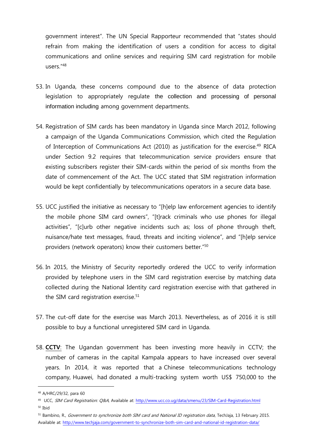government interest". The UN Special Rapporteur recommended that "states should refrain from making the identification of users a condition for access to digital communications and online services and requiring SIM card registration for mobile users."<sup>48</sup>

- 53. In Uganda, these concerns compound due to the absence of data protection legislation to appropriately regulate the collection and processing of personal information including among government departments.
- 54. Registration of SIM cards has been mandatory in Uganda since March 2012, following a campaign of the Uganda Communications Commission, which cited the Regulation of Interception of Communications Act (2010) as justification for the exercise.<sup>49</sup> RICA under Section 9.2 requires that telecommunication service providers ensure that existing subscribers register their SIM-cards within the period of six months from the date of commencement of the Act. The UCC stated that SIM registration information would be kept confidentially by telecommunications operators in a secure data base.
- 55. UCC justified the initiative as necessary to "[h]elp law enforcement agencies to identify the mobile phone SIM card owners", "[t]rack criminals who use phones for illegal activities", "[c]urb other negative incidents such as; loss of phone through theft, nuisance/hate text messages, fraud, threats and inciting violence", and "[h]elp service providers (network operators) know their customers better."<sup>50</sup>
- 56. In 2015, the Ministry of Security reportedly ordered the UCC to verify information provided by telephone users in the SIM card registration exercise by matching data collected during the National Identity card registration exercise with that gathered in the SIM card registration exercise.<sup>51</sup>
- 57. The cut-off date for the exercise was March 2013. Nevertheless, as of 2016 it is still possible to buy a functional unregistered SIM card in Uganda.
- 58. **CCTV**: The Ugandan government has been investing more heavily in CCTV; the number of cameras in the capital Kampala appears to have increased over several years. In 2014, it was reported that a Chinese telecommunications technology company, Huawei, had donated a multi-tracking system worth US\$ 750,000 to the

<sup>48</sup> A/HRC/29/32, para 60

<sup>&</sup>lt;sup>49</sup> UCC, *SIM Card Registration: Q&A*, Available at:<http://www.ucc.co.ug/data/smenu/23/SIM-Card-Registration.html>

<sup>50</sup> Ibid

<sup>51</sup> Bambino, R., Government to synchronize both SIM card and National ID registration data, TechJaja, 13 February 2015. Available at:<http://www.techjaja.com/government-to-synchronize-both-sim-card-and-national-id-registration-data/>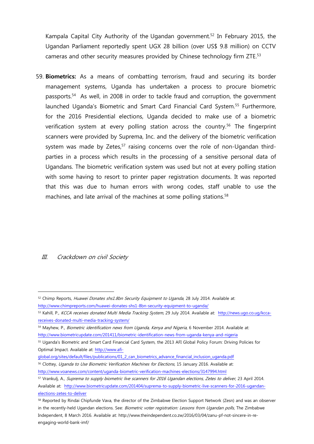Kampala Capital City Authority of the Ugandan government.<sup>52</sup> In February 2015, the Ugandan Parliament reportedly spent UGX 28 billion (over US\$ 9.8 million) on CCTV cameras and other security measures provided by Chinese technology firm ZTE. 53

59. **Biometrics:** As a means of combatting terrorism, fraud and securing its border management systems, Uganda has undertaken a process to procure biometric passports.<sup>54</sup> As well, in 2008 in order to tackle fraud and corruption, the government launched Uganda's Biometric and Smart Card Financial Card System.<sup>55</sup> Furthermore, for the 2016 Presidential elections, Uganda decided to make use of a biometric verification system at every polling station across the country.<sup>56</sup> The fingerprint scanners were provided by Suprema, Inc. and the delivery of the biometric verification system was made by Zetes, $57$  raising concerns over the role of non-Ugandan thirdparties in a process which results in the processing of a sensitive personal data of Ugandans. The biometric verification system was used but not at every polling station with some having to resort to printer paper registration documents. It was reported that this was due to human errors with wrong codes, staff unable to use the machines, and late arrival of the machines at some polling stations.<sup>58</sup>

#### III. Crackdown on civil Society

<sup>52</sup> Chimp Reports, Huawei Donates shs1.8bn Security Equipment to Uganda, 28 July 2014. Available at: <http://www.chimpreports.com/huawei-donates-shs1-8bn-security-equipment-to-uganda/>

<sup>53</sup> Kahill, P., KCCA receives donated Multi Media Tracking System, 29 July 2014. Available at: [http://news.ugo.co.ug/kcca](http://news.ugo.co.ug/kcca-receives-donated-multi-media-tracking-system/)[receives-donated-multi-media-tracking-system/](http://news.ugo.co.ug/kcca-receives-donated-multi-media-tracking-system/)

<sup>54</sup> Mayhew, P., Biometric identification news from Uganda, Kenya and Nigeria, 6 November 2014. Available at: <http://www.biometricupdate.com/201411/biometric-identification-news-from-uganda-kenya-and-nigeria>

<sup>55</sup> Uganda's Biometric and Smart Card Financial Card System, the 2013 AFI Global Policy Forum: Driving Policies for Optimal Impact. Available at: [http://www.afi-](http://www.afi-global.org/sites/default/files/publications/01_2_can_biometrics_advance_financial_inclusion_uganda.pdf)

[global.org/sites/default/files/publications/01\\_2\\_can\\_biometrics\\_advance\\_financial\\_inclusion\\_uganda.pdf](http://www.afi-global.org/sites/default/files/publications/01_2_can_biometrics_advance_financial_inclusion_uganda.pdf)

<sup>&</sup>lt;sup>56</sup> Clottey, *Uganda to Use Biometric Verification Machines for Elections*, 15 January 2016. Available at: <http://www.voanews.com/content/uganda-biometric-verification-machines-elections/3147994.html>

<sup>&</sup>lt;sup>57</sup> Vrankulj, A., Suprema to supply biometric live scanners for 2016 Ugandan elections, Zetes to deliver, 23 April 2014. Available at: [http://www.biometricupdate.com/201404/suprema-to-supply-biometric-live-scanners-for-2016-ugandan](http://www.biometricupdate.com/201404/suprema-to-supply-biometric-live-scanners-for-2016-ugandan-elections-zetes-to-deliver)[elections-zetes-to-deliver](http://www.biometricupdate.com/201404/suprema-to-supply-biometric-live-scanners-for-2016-ugandan-elections-zetes-to-deliver)

<sup>58</sup> Reported by Rindai Chipfunde Vava, the director of the Zimbabwe Election Support Network (Zesn) and was an observer in the recently-held Ugandan elections. See: Biometric voter registration: Lessons from Ugandan polls, The Zimbabwe Independent, 8 March 2016. Available at: http://www.theindependent.co.zw/2016/03/04/zanu-pf-not-sincere-in-reengaging-world-bank-imf/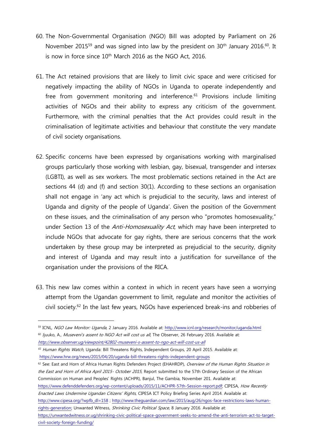- 60. The Non-Governmental Organisation (NGO) Bill was adopted by Parliament on 26 November 2015<sup>59</sup> and was signed into law by the president on 30<sup>th</sup> January 2016.<sup>60</sup>. It is now in force since  $10<sup>th</sup>$  March 2016 as the NGO Act, 2016.
- 61. The Act retained provisions that are likely to limit civic space and were criticised for negatively impacting the ability of NGOs in Uganda to operate independently and free from government monitoring and interference.<sup>61</sup> Provisions include limiting activities of NGOs and their ability to express any criticism of the government. Furthermore, with the criminal penalties that the Act provides could result in the criminalisation of legitimate activities and behaviour that constitute the very mandate of civil society organisations.
- 62. Specific concerns have been expressed by organisations working with marginalised groups particularly those working with lesbian, gay, bisexual, transgender and intersex (LGBTI), as well as sex workers. The most problematic sections retained in the Act are sections 44 (d) and (f) and section 30(1). According to these sections an organisation shall not engage in 'any act which is prejudicial to the security, laws and interest of Uganda and dignity of the people of Uganda'. Given the position of the Government on these issues, and the criminalisation of any person who "promotes homosexuality," under Section 13 of the Anti-Homosexuality Act, which may have been interpreted to include NGOs that advocate for gay rights, there are serious concerns that the work undertaken by these group may be interpreted as prejudicial to the security, dignity and interest of Uganda and may result into a justification for surveillance of the organisation under the provisions of the RICA.
- 63. This new law comes within a context in which in recent years have seen a worrying attempt from the Ugandan government to limit, regulate and monitor the activities of civil society.<sup>62</sup> In the last few years, NGOs have experienced break-ins and robberies of

62 See: East and Horn of Africa Human Rights Defenders Project (EHAHRDP), Overview of the Human Rights Situation in the East and Horn of Africa April 2015- October 2015, Report submitted to the 57th Ordinary Session of the African Commission on Human and Peoples' Rights (ACHPR), Banjul, The Gambia, November 201. Available at: [https://www.defenddefenders.org/wp-content/uploads/2015/11/ACHPR-57th-Session-report.pdf;](https://www.defenddefenders.org/wp-content/uploads/2015/11/ACHPR-57th-Session-report.pdf) CIPESA, How Recently Enacted Laws Undermine Ugandan Citizens' Rights, CIPESA ICT Policy Briefing Series April 2014. Available at: [http://www.cipesa.org/?wpfb\\_dl=158](http://www.cipesa.org/?wpfb_dl=158) ; [http://www.theguardian.com/law/2015/aug/26/ngos-face-restrictions-laws-human](http://www.theguardian.com/law/2015/aug/26/ngos-face-restrictions-laws-human-rights-generation)[rights-generation;](http://www.theguardian.com/law/2015/aug/26/ngos-face-restrictions-laws-human-rights-generation) Unwanted Witness, Shrinking Civic Political Space, 8 January 2016. Available at: [https://unwantedwitness.or.ug/shrinking-civic-political-space-government-seeks-to-amend-the-anti-terrorism-act-to-target](https://unwantedwitness.or.ug/shrinking-civic-political-space-government-seeks-to-amend-the-anti-terrorism-act-to-target-civil-society-foreign-funding/)[civil-society-foreign-funding/](https://unwantedwitness.or.ug/shrinking-civic-political-space-government-seeks-to-amend-the-anti-terrorism-act-to-target-civil-society-foreign-funding/)

<sup>59</sup> ICNL, NGO Law Monitor: Uganda, 2 January 2016. Available at:<http://www.icnl.org/research/monitor/uganda.html>

<sup>60</sup> Jjuuko, A., Museveni's assent to NGO Act will cost us all, The Observer, 26 February 2016. Available at: <http://www.observer.ug/viewpoint/42802-museveni-s-assent-to-ngo-act-will-cost-us-all>

<sup>61</sup> Human Rights Watch, Uganda: Bill Threatens Rights, Independent Groups, 20 April 2015. Available at: <https://www.hrw.org/news/2015/04/20/uganda-bill-threatens-rights-independent-groups>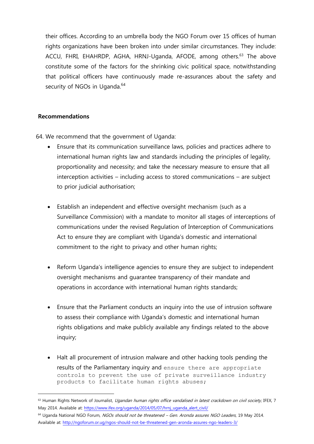their offices. According to an umbrella body the NGO Forum over 15 offices of human rights organizations have been broken into under similar circumstances. They include: ACCU, FHRI, EHAHRDP, AGHA, HRNJ-Uganda, AFODE, among others.<sup>63</sup> The above constitute some of the factors for the shrinking civic political space, notwithstanding that political officers have continuously made re-assurances about the safety and security of NGOs in Uganda.<sup>64</sup>

# **Recommendations**

 $\overline{a}$ 

64. We recommend that the government of Uganda:

- Ensure that its communication surveillance laws, policies and practices adhere to international human rights law and standards including the principles of legality, proportionality and necessity; and take the necessary measure to ensure that all interception activities – including access to stored communications – are subject to prior judicial authorisation;
- Establish an independent and effective oversight mechanism (such as a Surveillance Commission) with a mandate to monitor all stages of interceptions of communications under the revised Regulation of Interception of Communications Act to ensure they are compliant with Uganda's domestic and international commitment to the right to privacy and other human rights;
- Reform Uganda's intelligence agencies to ensure they are subject to independent oversight mechanisms and guarantee transparency of their mandate and operations in accordance with international human rights standards;
- Ensure that the Parliament conducts an inquiry into the use of intrusion software to assess their compliance with Uganda's domestic and international human rights obligations and make publicly available any findings related to the above inquiry;
- Halt all procurement of intrusion malware and other hacking tools pending the results of the Parliamentary inquiry and ensure there are appropriate controls to prevent the use of private surveillance industry products to facilitate human rights abuses;

<sup>63</sup> Human Rights Network of Journalist, Ugandan human rights office vandalised in latest crackdown on civil society, IFEX, 7 May 2014. Available at: [https://www.ifex.org/uganda/2014/05/07/hrnj\\_uganda\\_alert\\_civil/](https://www.ifex.org/uganda/2014/05/07/hrnj_uganda_alert_civil/)

<sup>64</sup> Uganda National NGO Forum, NGOs should not be threatened - Gen. Aronda assures NGO Leaders, 19 May 2014. Available at:<http://ngoforum.or.ug/ngos-should-not-be-threatened-gen-aronda-assures-ngo-leaders-3/>